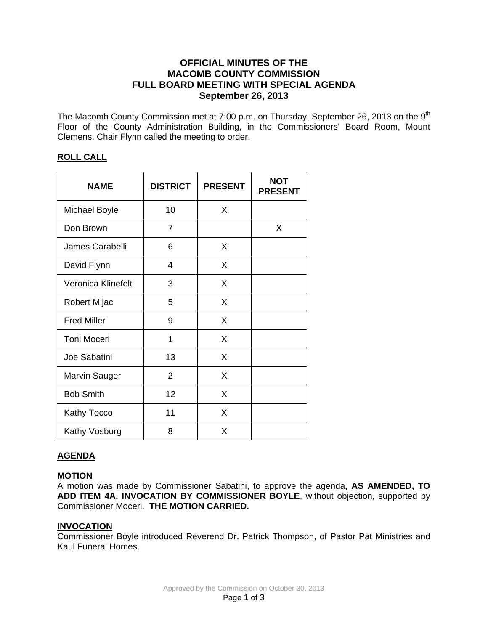# **OFFICIAL MINUTES OF THE MACOMB COUNTY COMMISSION FULL BOARD MEETING WITH SPECIAL AGENDA September 26, 2013**

The Macomb County Commission met at 7:00 p.m. on Thursday, September 26, 2013 on the 9<sup>th</sup> Floor of the County Administration Building, in the Commissioners' Board Room, Mount Clemens. Chair Flynn called the meeting to order.

# **ROLL CALL**

| <b>NAME</b>          | <b>DISTRICT</b> | <b>PRESENT</b> | <b>NOT</b><br><b>PRESENT</b> |
|----------------------|-----------------|----------------|------------------------------|
| <b>Michael Boyle</b> | 10              | X              |                              |
| Don Brown            | $\overline{7}$  |                | X                            |
| James Carabelli      | 6               | X              |                              |
| David Flynn          | 4               | X              |                              |
| Veronica Klinefelt   | 3               | X              |                              |
| Robert Mijac         | 5               | X              |                              |
| <b>Fred Miller</b>   | 9               | X              |                              |
| <b>Toni Moceri</b>   | 1               | X              |                              |
| Joe Sabatini         | 13              | X              |                              |
| Marvin Sauger        | $\overline{2}$  | X              |                              |
| <b>Bob Smith</b>     | 12              | X              |                              |
| Kathy Tocco          | 11              | X              |                              |
| Kathy Vosburg        | 8               | X              |                              |

# **AGENDA**

# **MOTION**

A motion was made by Commissioner Sabatini, to approve the agenda, **AS AMENDED, TO ADD ITEM 4A, INVOCATION BY COMMISSIONER BOYLE**, without objection, supported by Commissioner Moceri. **THE MOTION CARRIED.** 

## **INVOCATION**

Commissioner Boyle introduced Reverend Dr. Patrick Thompson, of Pastor Pat Ministries and Kaul Funeral Homes.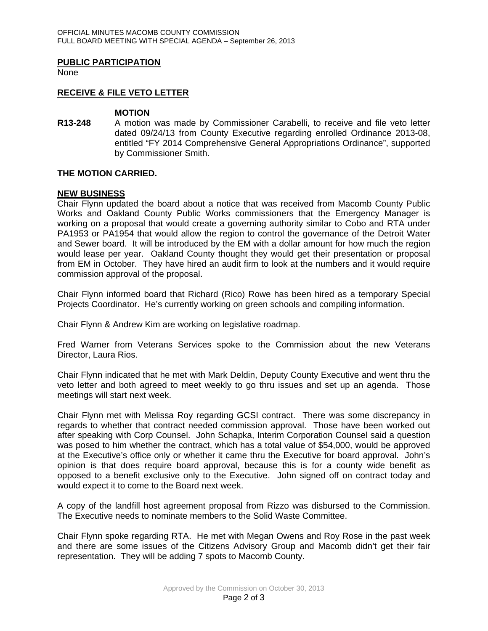## **PUBLIC PARTICIPATION**

None

## **RECEIVE & FILE VETO LETTER**

#### **MOTION**

**R13-248** A motion was made by Commissioner Carabelli, to receive and file veto letter dated 09/24/13 from County Executive regarding enrolled Ordinance 2013-08, entitled "FY 2014 Comprehensive General Appropriations Ordinance", supported by Commissioner Smith.

#### **THE MOTION CARRIED.**

#### **NEW BUSINESS**

Chair Flynn updated the board about a notice that was received from Macomb County Public Works and Oakland County Public Works commissioners that the Emergency Manager is working on a proposal that would create a governing authority similar to Cobo and RTA under PA1953 or PA1954 that would allow the region to control the governance of the Detroit Water and Sewer board. It will be introduced by the EM with a dollar amount for how much the region would lease per year. Oakland County thought they would get their presentation or proposal from EM in October. They have hired an audit firm to look at the numbers and it would require commission approval of the proposal.

Chair Flynn informed board that Richard (Rico) Rowe has been hired as a temporary Special Projects Coordinator. He's currently working on green schools and compiling information.

Chair Flynn & Andrew Kim are working on legislative roadmap.

Fred Warner from Veterans Services spoke to the Commission about the new Veterans Director, Laura Rios.

Chair Flynn indicated that he met with Mark Deldin, Deputy County Executive and went thru the veto letter and both agreed to meet weekly to go thru issues and set up an agenda. Those meetings will start next week.

Chair Flynn met with Melissa Roy regarding GCSI contract. There was some discrepancy in regards to whether that contract needed commission approval. Those have been worked out after speaking with Corp Counsel. John Schapka, Interim Corporation Counsel said a question was posed to him whether the contract, which has a total value of \$54,000, would be approved at the Executive's office only or whether it came thru the Executive for board approval. John's opinion is that does require board approval, because this is for a county wide benefit as opposed to a benefit exclusive only to the Executive. John signed off on contract today and would expect it to come to the Board next week.

A copy of the landfill host agreement proposal from Rizzo was disbursed to the Commission. The Executive needs to nominate members to the Solid Waste Committee.

Chair Flynn spoke regarding RTA. He met with Megan Owens and Roy Rose in the past week and there are some issues of the Citizens Advisory Group and Macomb didn't get their fair representation. They will be adding 7 spots to Macomb County.